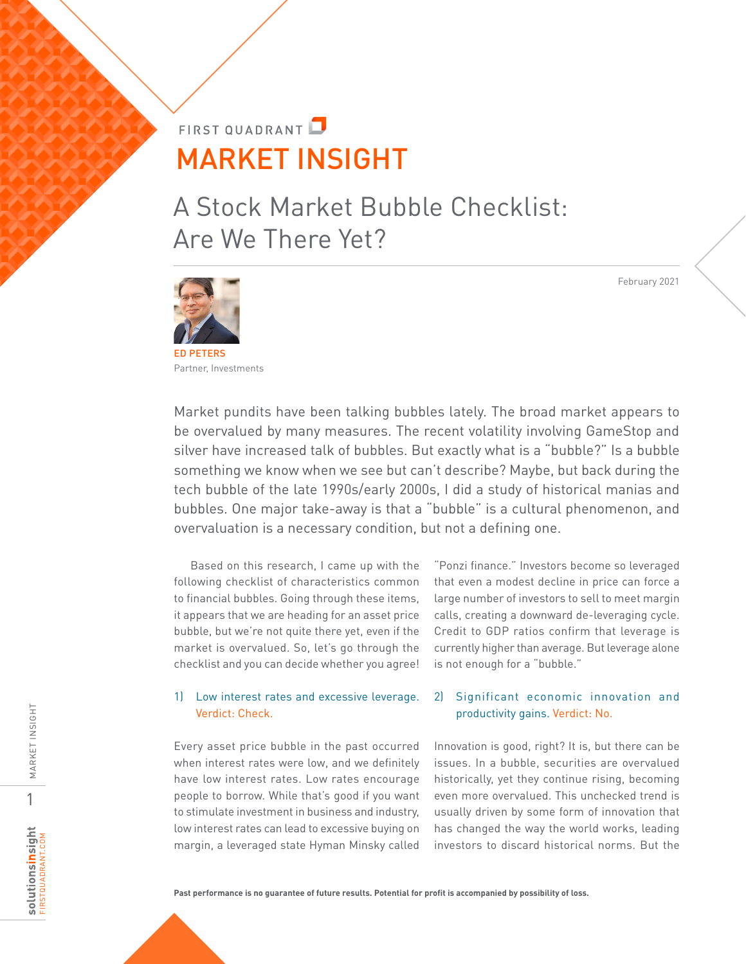# **FIRST OUADRANT** MARKET INSIGHT

A Stock Market Bubble Checklist: Are We There Yet?

ED PETERS Partner, Investments

Market pundits have been talking bubbles lately. The broad market appears to be overvalued by many measures. The recent volatility involving GameStop and silver have increased talk of bubbles. But exactly what is a "bubble?" Is a bubble something we know when we see but can't describe? Maybe, but back during the tech bubble of the late 1990s/early 2000s, I did a study of historical manias and bubbles. One major take-away is that a "bubble" is a cultural phenomenon, and overvaluation is a necessary condition, but not a defining one.

Based on this research, I came up with the following checklist of characteristics common to financial bubbles. Going through these items, it appears that we are heading for an asset price bubble, but we're not quite there yet, even if the market is overvalued. So, let's go through the checklist and you can decide whether you agree!

### 1) Low interest rates and excessive leverage. Verdict: Check.

Every asset price bubble in the past occurred when interest rates were low, and we definitely have low interest rates. Low rates encourage people to borrow. While that's good if you want to stimulate investment in business and industry, low interest rates can lead to excessive buying on margin, a leveraged state Hyman Minsky called

"Ponzi finance." Investors become so leveraged that even a modest decline in price can force a large number of investors to sell to meet margin calls, creating a downward de-leveraging cycle. Credit to GDP ratios confirm that leverage is currently higher than average. But leverage alone is not enough for a "bubble."

### 2) Significant economic innovation and productivity gains. Verdict: No.

Innovation is good, right? It is, but there can be issues. In a bubble, securities are overvalued historically, yet they continue rising, becoming even more overvalued. This unchecked trend is usually driven by some form of innovation that has changed the way the world works, leading investors to discard historical norms. But the

**Past performance is no guarantee of future results. Potential for profit is accompanied by possibility of loss.** 

February 2021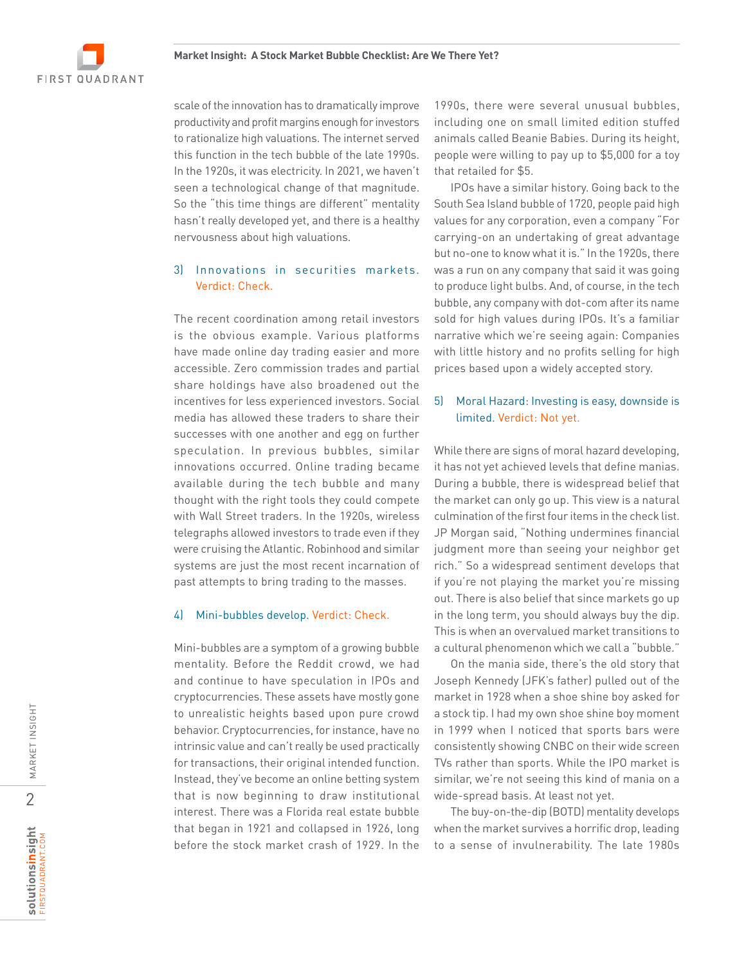

scale of the innovation has to dramatically improve productivity and profit margins enough for investors to rationalize high valuations. The internet served this function in the tech bubble of the late 1990s. In the 1920s, it was electricity. In 2021, we haven't seen a technological change of that magnitude. So the "this time things are different" mentality hasn't really developed yet, and there is a healthy nervousness about high valuations.

#### 3) Innovations in securities markets. Verdict: Check.

The recent coordination among retail investors is the obvious example. Various platforms have made online day trading easier and more accessible. Zero commission trades and partial share holdings have also broadened out the incentives for less experienced investors. Social media has allowed these traders to share their successes with one another and egg on further speculation. In previous bubbles, similar innovations occurred. Online trading became available during the tech bubble and many thought with the right tools they could compete with Wall Street traders. In the 1920s, wireless telegraphs allowed investors to trade even if they were cruising the Atlantic. Robinhood and similar systems are just the most recent incarnation of past attempts to bring trading to the masses.

#### 4) Mini-bubbles develop. Verdict: Check.

Mini-bubbles are a symptom of a growing bubble mentality. Before the Reddit crowd, we had and continue to have speculation in IPOs and cryptocurrencies. These assets have mostly gone to unrealistic heights based upon pure crowd behavior. Cryptocurrencies, for instance, have no intrinsic value and can't really be used practically for transactions, their original intended function. Instead, they've become an online betting system that is now beginning to draw institutional interest. There was a Florida real estate bubble that began in 1921 and collapsed in 1926, long before the stock market crash of 1929. In the

1990s, there were several unusual bubbles, including one on small limited edition stuffed animals called Beanie Babies. During its height, people were willing to pay up to \$5,000 for a toy that retailed for \$5.

IPOs have a similar history. Going back to the South Sea Island bubble of 1720, people paid high values for any corporation, even a company "For carrying-on an undertaking of great advantage but no-one to know what it is." In the 1920s, there was a run on any company that said it was going to produce light bulbs. And, of course, in the tech bubble, any company with dot-com after its name sold for high values during IPOs. It's a familiar narrative which we're seeing again: Companies with little history and no profits selling for high prices based upon a widely accepted story.

#### 5) Moral Hazard: Investing is easy, downside is limited. Verdict: Not yet.

While there are signs of moral hazard developing, it has not yet achieved levels that define manias. During a bubble, there is widespread belief that the market can only go up. This view is a natural culmination of the first four items in the check list. JP Morgan said, "Nothing undermines financial judgment more than seeing your neighbor get rich." So a widespread sentiment develops that if you're not playing the market you're missing out. There is also belief that since markets go up in the long term, you should always buy the dip. This is when an overvalued market transitions to a cultural phenomenon which we call a "bubble."

On the mania side, there's the old story that Joseph Kennedy (JFK's father) pulled out of the market in 1928 when a shoe shine boy asked for a stock tip. I had my own shoe shine boy moment in 1999 when I noticed that sports bars were consistently showing CNBC on their wide screen TVs rather than sports. While the IPO market is similar, we're not seeing this kind of mania on a wide-spread basis. At least not yet.

The buy-on-the-dip (BOTD) mentality develops when the market survives a horrific drop, leading to a sense of invulnerability. The late 1980s